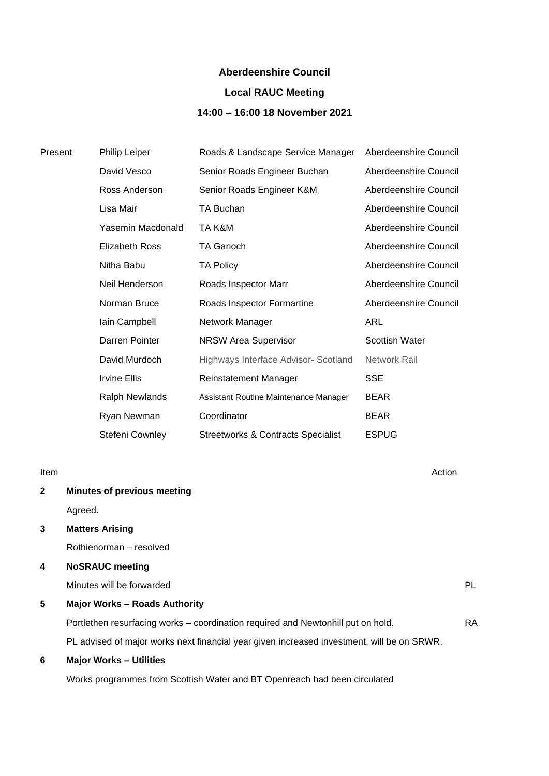### **Aberdeenshire Council**

## **Local RAUC Meeting**

## **14:00 – 16:00 18 November 2021**

| Present | Philip Leiper         | Roads & Landscape Service Manager             | Aberdeenshire Council |
|---------|-----------------------|-----------------------------------------------|-----------------------|
|         | David Vesco           | Senior Roads Engineer Buchan                  | Aberdeenshire Council |
|         | Ross Anderson         | Senior Roads Engineer K&M                     | Aberdeenshire Council |
|         | Lisa Mair             | TA Buchan                                     | Aberdeenshire Council |
|         | Yasemin Macdonald     | TA K&M                                        | Aberdeenshire Council |
|         | <b>Elizabeth Ross</b> | <b>TA Garioch</b>                             | Aberdeenshire Council |
|         | Nitha Babu            | <b>TA Policy</b>                              | Aberdeenshire Council |
|         | Neil Henderson        | Roads Inspector Marr                          | Aberdeenshire Council |
|         | Norman Bruce          | Roads Inspector Formartine                    | Aberdeenshire Council |
|         | lain Campbell         | Network Manager                               | <b>ARL</b>            |
|         | Darren Pointer        | <b>NRSW Area Supervisor</b>                   | <b>Scottish Water</b> |
|         | David Murdoch         | Highways Interface Advisor- Scotland          | Network Rail          |
|         | <b>Irvine Ellis</b>   | <b>Reinstatement Manager</b>                  | <b>SSE</b>            |
|         | <b>Ralph Newlands</b> | Assistant Routine Maintenance Manager         | <b>BEAR</b>           |
|         | Ryan Newman           | Coordinator                                   | <b>BEAR</b>           |
|         | Stefeni Cownley       | <b>Streetworks &amp; Contracts Specialist</b> | <b>ESPUG</b>          |
|         |                       |                                               |                       |

Item Action

# **2 Minutes of previous meeting**

Agreed.

## **3 Matters Arising**

Rothienorman – resolved

## **4 NoSRAUC meeting**

Minutes will be forwarded **PL** 

## **5 Major Works – Roads Authority**

Portlethen resurfacing works – coordination required and Newtonhill put on hold. RA PL advised of major works next financial year given increased investment, will be on SRWR.

### **6 Major Works – Utilities**

Works programmes from Scottish Water and BT Openreach had been circulated